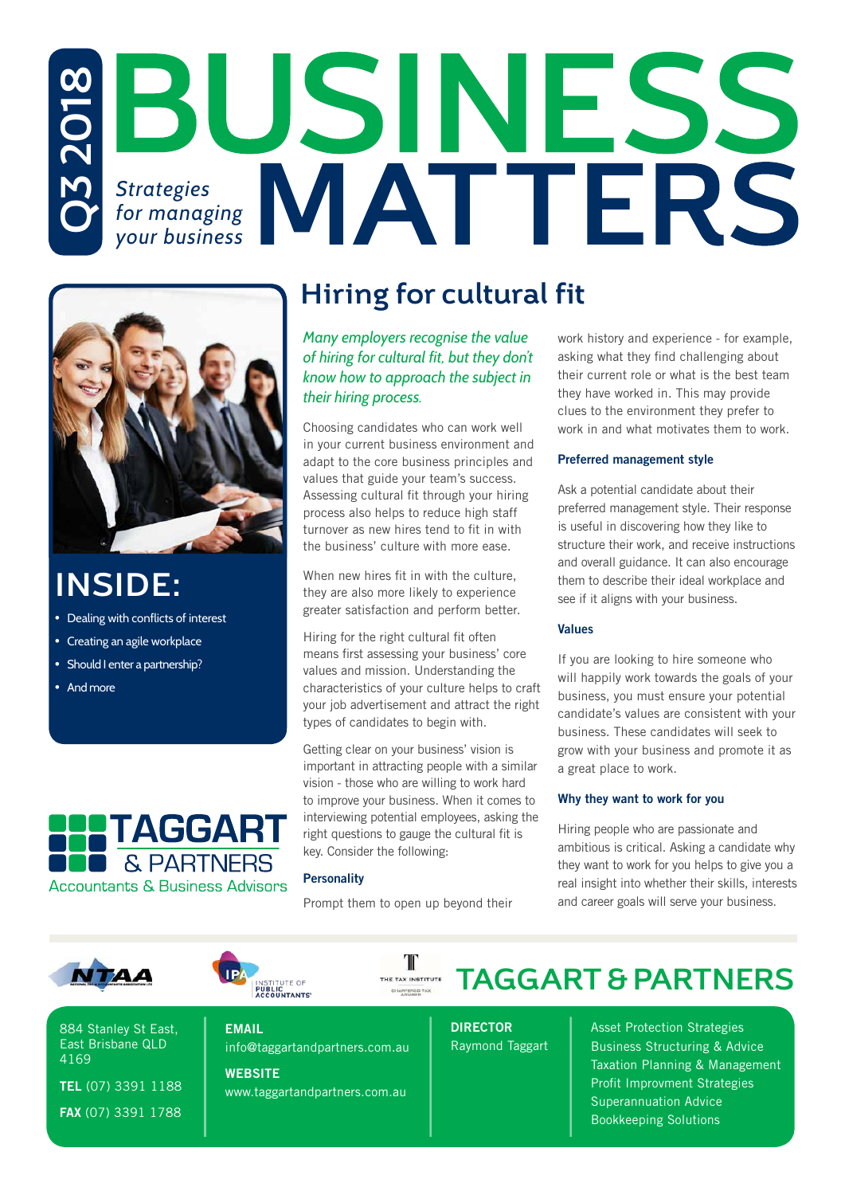# *Strategies Strategies*<br>*for managing* **MATTERS Q3 2018** *your business*



# **INSIDE:**

- Dealing with conflicts of interest
- Creating an agile workplace
- Should I enter a partnership?
- And more



### **Hiring for cultural fit**

*Many employers recognise the value of hiring for cultural fit, but they don't know how to approach the subject in their hiring process.*

Choosing candidates who can work well in your current business environment and adapt to the core business principles and values that guide your team's success. Assessing cultural fit through your hiring process also helps to reduce high staff turnover as new hires tend to fit in with the business' culture with more ease.

When new hires fit in with the culture, they are also more likely to experience greater satisfaction and perform better.

Hiring for the right cultural fit often means first assessing your business' core values and mission. Understanding the characteristics of your culture helps to craft your job advertisement and attract the right types of candidates to begin with.

Getting clear on your business' vision is important in attracting people with a similar vision - those who are willing to work hard to improve your business. When it comes to interviewing potential employees, asking the right questions to gauge the cultural fit is key. Consider the following:

#### **Personality**

Prompt them to open up beyond their

II

CHANTERIED TAX

work history and experience - for example, asking what they find challenging about their current role or what is the best team they have worked in. This may provide clues to the environment they prefer to work in and what motivates them to work.

#### Preferred management style

Ask a potential candidate about their preferred management style. Their response is useful in discovering how they like to structure their work, and receive instructions and overall guidance. It can also encourage them to describe their ideal workplace and see if it aligns with your business.

#### Values

If you are looking to hire someone who will happily work towards the goals of your business, you must ensure your potential candidate's values are consistent with your business. These candidates will seek to grow with your business and promote it as a great place to work.

#### Why they want to work for you

Hiring people who are passionate and ambitious is critical. Asking a candidate why they want to work for you helps to give you a real insight into whether their skills, interests and career goals will serve your business.





884 Stanley St East, East Brisbane QLD 4169

TEL (07) 3391 1188 FAX (07) 3391 1788

EMAIL

info@taggartandpartners.com.au **WEBSITE** 

www.taggartandpartners.com.au

**TAGGART & PARTNERS** THE TAX INSTITUTE

> DIRECTOR Raymond Taggart

Asset Protection Strategies Business Structuring & Advice Taxation Planning & Management Profit Improvment Strategies Superannuation Advice Bookkeeping Solutions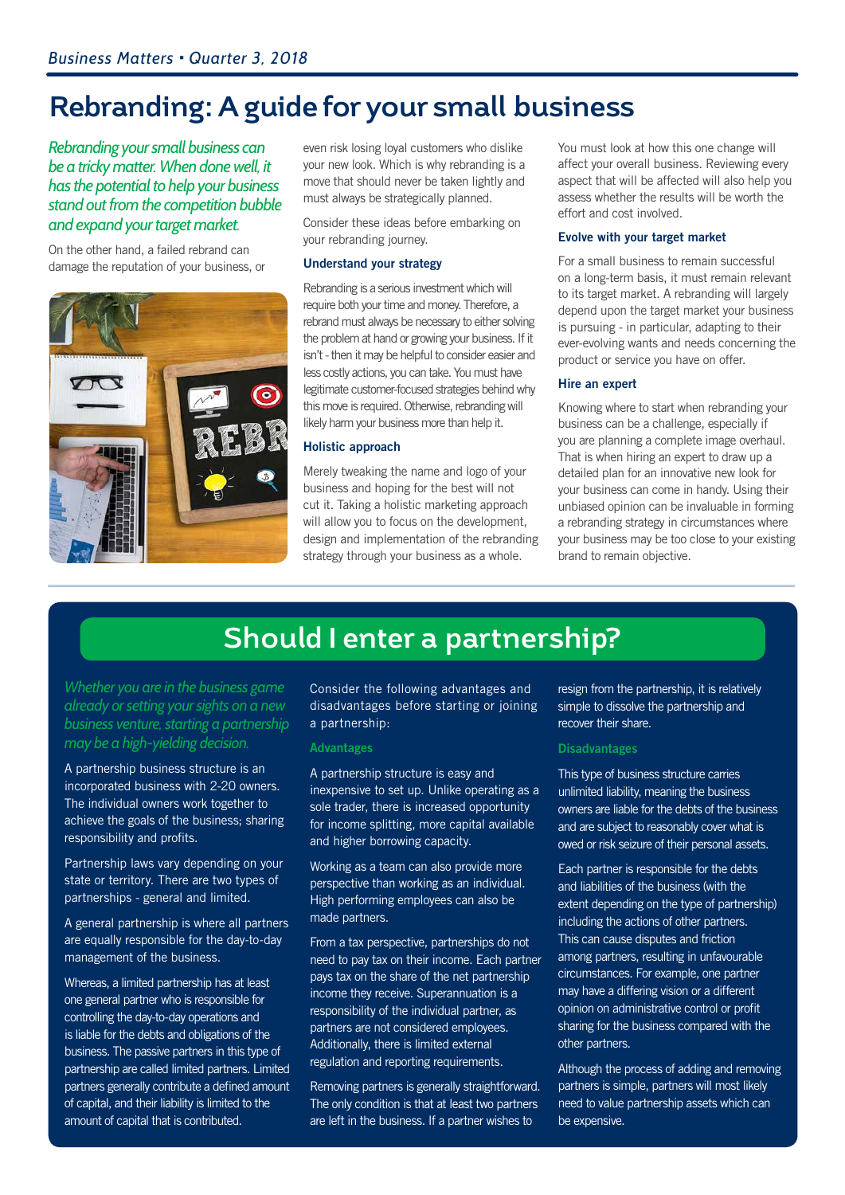### **Rebranding: A guide for your small business**

*Rebranding your small business can be a tricky matter. When done well, it has the potential to help your business stand out from the competition bubble and expand your target market.* 

On the other hand, a failed rebrand can damage the reputation of your business, or



even risk losing loyal customers who dislike your new look. Which is why rebranding is a move that should never be taken lightly and must always be strategically planned.

Consider these ideas before embarking on your rebranding journey.

#### Understand your strategy

Rebranding is a serious investment which will require both your time and money. Therefore, a rebrand must always be necessary to either solving the problem at hand or growing your business. If it isn't - then it may be helpful to consider easier and less costly actions, you can take. You must have legitimate customer-focused strategies behind why this move is required. Otherwise, rebranding will likely harm your business more than help it.

#### Holistic approach

Merely tweaking the name and logo of your business and hoping for the best will not cut it. Taking a holistic marketing approach will allow you to focus on the development. design and implementation of the rebranding strategy through your business as a whole.

You must look at how this one change will affect your overall business. Reviewing every aspect that will be affected will also help you assess whether the results will be worth the effort and cost involved.

#### Evolve with your target market

For a small business to remain successful on a long-term basis, it must remain relevant to its target market. A rebranding will largely depend upon the target market your business is pursuing - in particular, adapting to their ever-evolving wants and needs concerning the product or service you have on offer.

#### Hire an expert

Knowing where to start when rebranding your business can be a challenge, especially if you are planning a complete image overhaul. That is when hiring an expert to draw up a detailed plan for an innovative new look for your business can come in handy. Using their unbiased opinion can be invaluable in forming a rebranding strategy in circumstances where your business may be too close to your existing brand to remain objective.

### **Should I enter a partnership?**

*Whether you are in the business game already or setting your sights on a new business venture, starting a partnership may be a high-yielding decision.*

A partnership business structure is an incorporated business with 2-20 owners. The individual owners work together to achieve the goals of the business; sharing responsibility and profits.

Partnership laws vary depending on your state or territory. There are two types of partnerships - general and limited.

A general partnership is where all partners are equally responsible for the day-to-day management of the business.

Whereas, a limited partnership has at least one general partner who is responsible for controlling the day-to-day operations and is liable for the debts and obligations of the business. The passive partners in this type of partnership are called limited partners. Limited partners generally contribute a defined amount of capital, and their liability is limited to the amount of capital that is contributed.

Consider the following advantages and disadvantages before starting or joining a partnership:

#### Advantages

A partnership structure is easy and inexpensive to set up. Unlike operating as a sole trader, there is increased opportunity for income splitting, more capital available and higher borrowing capacity.

Working as a team can also provide more perspective than working as an individual. High performing employees can also be made partners.

From a tax perspective, partnerships do not need to pay tax on their income. Each partner pays tax on the share of the net partnership income they receive. Superannuation is a responsibility of the individual partner, as partners are not considered employees. Additionally, there is limited external regulation and reporting requirements.

Removing partners is generally straightforward. The only condition is that at least two partners are left in the business. If a partner wishes to

resign from the partnership, it is relatively simple to dissolve the partnership and recover their share.

#### Disadvantages

This type of business structure carries unlimited liability, meaning the business owners are liable for the debts of the business and are subject to reasonably cover what is owed or risk seizure of their personal assets.

Each partner is responsible for the debts and liabilities of the business (with the extent depending on the type of partnership) including the actions of other partners. This can cause disputes and friction among partners, resulting in unfavourable circumstances. For example, one partner may have a differing vision or a different opinion on administrative control or profit sharing for the business compared with the other partners.

Although the process of adding and removing partners is simple, partners will most likely need to value partnership assets which can be expensive.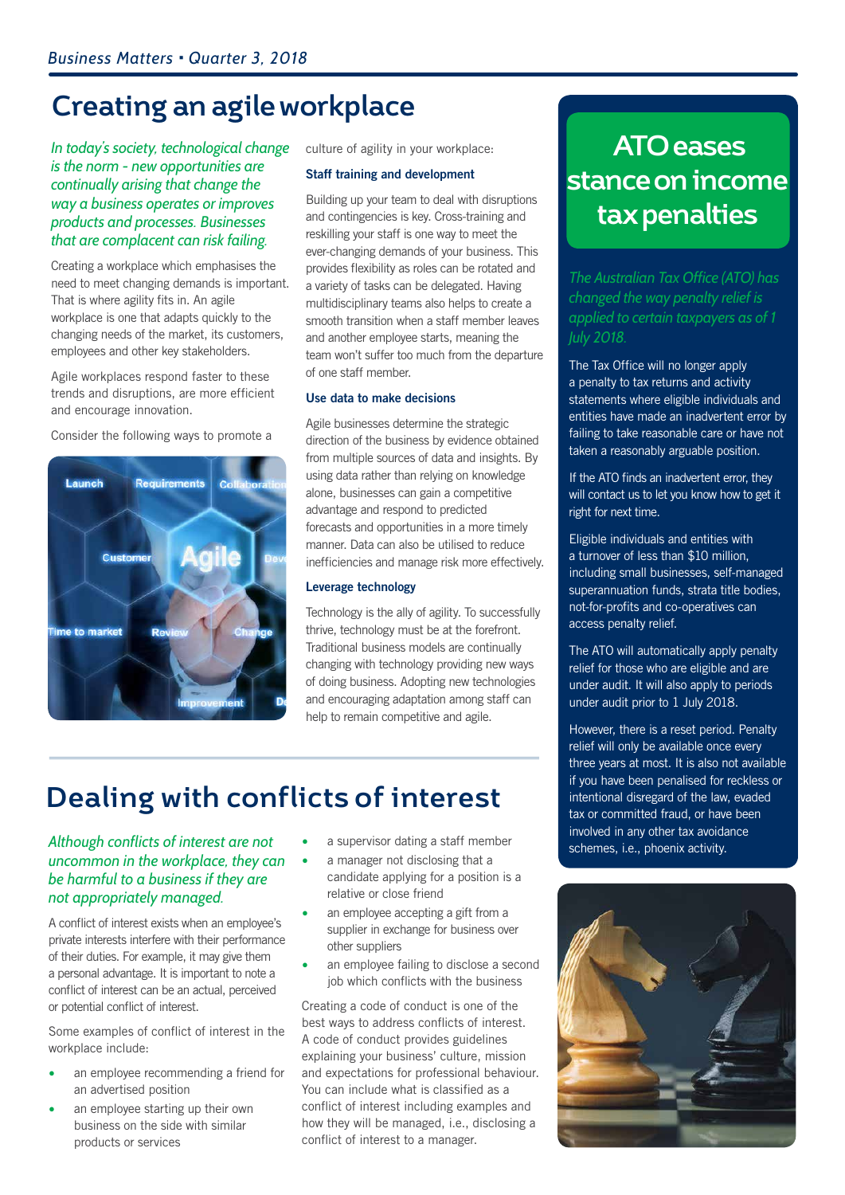### **Creating an agile workplace**

#### *In today's society, technological change is the norm - new opportunities are continually arising that change the way a business operates or improves products and processes. Businesses that are complacent can risk failing.*

Creating a workplace which emphasises the need to meet changing demands is important. That is where agility fits in. An agile workplace is one that adapts quickly to the changing needs of the market, its customers, employees and other key stakeholders.

Agile workplaces respond faster to these trends and disruptions, are more efficient and encourage innovation.

Consider the following ways to promote a



culture of agility in your workplace:

#### Staff training and development

Building up your team to deal with disruptions and contingencies is key. Cross-training and reskilling your staff is one way to meet the ever-changing demands of your business. This provides flexibility as roles can be rotated and a variety of tasks can be delegated. Having multidisciplinary teams also helps to create a smooth transition when a staff member leaves and another employee starts, meaning the team won't suffer too much from the departure of one staff member.

#### Use data to make decisions

Agile businesses determine the strategic direction of the business by evidence obtained from multiple sources of data and insights. By using data rather than relying on knowledge alone, businesses can gain a competitive advantage and respond to predicted forecasts and opportunities in a more timely manner. Data can also be utilised to reduce inefficiencies and manage risk more effectively.

#### Leverage technology

Technology is the ally of agility. To successfully thrive, technology must be at the forefront. Traditional business models are continually changing with technology providing new ways of doing business. Adopting new technologies and encouraging adaptation among staff can help to remain competitive and agile.

# **Dealing with conflicts of interest**

#### *Although conflicts of interest are not uncommon in the workplace, they can be harmful to a business if they are not appropriately managed.*

A conflict of interest exists when an employee's private interests interfere with their performance of their duties. For example, it may give them a personal advantage. It is important to note a conflict of interest can be an actual, perceived or potential conflict of interest.

Some examples of conflict of interest in the workplace include:

- an employee recommending a friend for an advertised position
- an employee starting up their own business on the side with similar products or services
- a supervisor dating a staff member
- a manager not disclosing that a candidate applying for a position is a relative or close friend
- an employee accepting a gift from a supplier in exchange for business over other suppliers
- an employee failing to disclose a second job which conflicts with the business

Creating a code of conduct is one of the best ways to address conflicts of interest. A code of conduct provides guidelines explaining your business' culture, mission and expectations for professional behaviour. You can include what is classified as a conflict of interest including examples and how they will be managed, i.e., disclosing a conflict of interest to a manager.

### **ATO eases stance on income tax penalties**

*The Australian Tax Office (ATO) has changed the way penalty relief is applied to certain taxpayers as of 1 July 2018.*

The Tax Office will no longer apply a penalty to tax returns and activity statements where eligible individuals and entities have made an inadvertent error by failing to take reasonable care or have not taken a reasonably arguable position.

If the ATO finds an inadvertent error, they will contact us to let you know how to get it right for next time.

Eligible individuals and entities with a turnover of less than \$10 million, including small businesses, self-managed superannuation funds, strata title bodies, not-for-profits and co-operatives can access penalty relief.

The ATO will automatically apply penalty relief for those who are eligible and are under audit. It will also apply to periods under audit prior to 1 July 2018.

However, there is a reset period. Penalty relief will only be available once every three years at most. It is also not available if you have been penalised for reckless or intentional disregard of the law, evaded tax or committed fraud, or have been involved in any other tax avoidance schemes, i.e., phoenix activity.